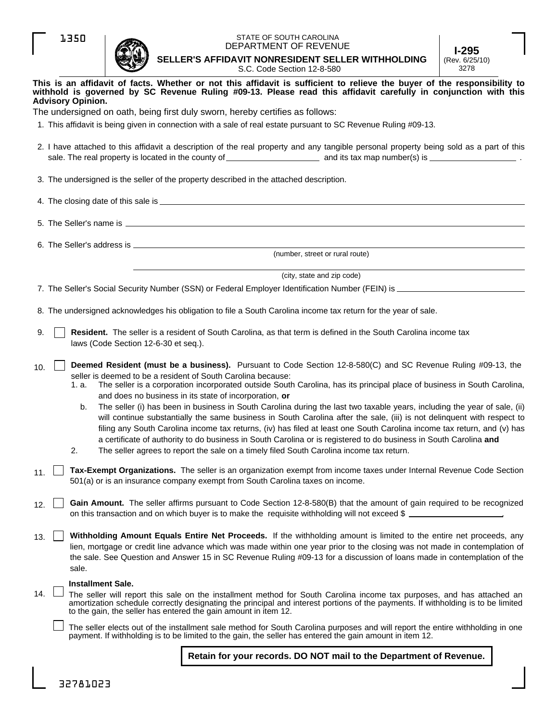|--|--|



## STATE OF SOUTH CAROLINA DEPARTMENT OF REVENUE

**SELLER'S AFFIDAVIT NONRESIDENT SELLER WITHHOLDING I-295** (Rev. 6/25/10)

|     |                          | x                                    | S.C. Code Section 12-8-580                                                                                                                                                                                                                                                                                                                                                                                                                                                                                                                                                                                                                                                                                                                                                                                                                                                                                                                                            | 3278 |
|-----|--------------------------|--------------------------------------|-----------------------------------------------------------------------------------------------------------------------------------------------------------------------------------------------------------------------------------------------------------------------------------------------------------------------------------------------------------------------------------------------------------------------------------------------------------------------------------------------------------------------------------------------------------------------------------------------------------------------------------------------------------------------------------------------------------------------------------------------------------------------------------------------------------------------------------------------------------------------------------------------------------------------------------------------------------------------|------|
|     | <b>Advisory Opinion.</b> |                                      | This is an affidavit of facts. Whether or not this affidavit is sufficient to relieve the buyer of the responsibility to<br>withhold is governed by SC Revenue Ruling #09-13. Please read this affidavit carefully in conjunction with this                                                                                                                                                                                                                                                                                                                                                                                                                                                                                                                                                                                                                                                                                                                           |      |
|     |                          |                                      | The undersigned on oath, being first duly sworn, hereby certifies as follows:                                                                                                                                                                                                                                                                                                                                                                                                                                                                                                                                                                                                                                                                                                                                                                                                                                                                                         |      |
|     |                          |                                      | 1. This affidavit is being given in connection with a sale of real estate pursuant to SC Revenue Ruling #09-13.                                                                                                                                                                                                                                                                                                                                                                                                                                                                                                                                                                                                                                                                                                                                                                                                                                                       |      |
|     |                          |                                      | 2. I have attached to this affidavit a description of the real property and any tangible personal property being sold as a part of this                                                                                                                                                                                                                                                                                                                                                                                                                                                                                                                                                                                                                                                                                                                                                                                                                               |      |
|     |                          |                                      | 3. The undersigned is the seller of the property described in the attached description.                                                                                                                                                                                                                                                                                                                                                                                                                                                                                                                                                                                                                                                                                                                                                                                                                                                                               |      |
|     |                          |                                      |                                                                                                                                                                                                                                                                                                                                                                                                                                                                                                                                                                                                                                                                                                                                                                                                                                                                                                                                                                       |      |
|     |                          |                                      |                                                                                                                                                                                                                                                                                                                                                                                                                                                                                                                                                                                                                                                                                                                                                                                                                                                                                                                                                                       |      |
|     |                          |                                      | (number, street or rural route)                                                                                                                                                                                                                                                                                                                                                                                                                                                                                                                                                                                                                                                                                                                                                                                                                                                                                                                                       |      |
|     |                          |                                      |                                                                                                                                                                                                                                                                                                                                                                                                                                                                                                                                                                                                                                                                                                                                                                                                                                                                                                                                                                       |      |
|     |                          |                                      | (city, state and zip code)                                                                                                                                                                                                                                                                                                                                                                                                                                                                                                                                                                                                                                                                                                                                                                                                                                                                                                                                            |      |
|     |                          |                                      |                                                                                                                                                                                                                                                                                                                                                                                                                                                                                                                                                                                                                                                                                                                                                                                                                                                                                                                                                                       |      |
|     |                          |                                      | 8. The undersigned acknowledges his obligation to file a South Carolina income tax return for the year of sale.                                                                                                                                                                                                                                                                                                                                                                                                                                                                                                                                                                                                                                                                                                                                                                                                                                                       |      |
| 9.  |                          | laws (Code Section 12-6-30 et seq.). | Resident. The seller is a resident of South Carolina, as that term is defined in the South Carolina income tax                                                                                                                                                                                                                                                                                                                                                                                                                                                                                                                                                                                                                                                                                                                                                                                                                                                        |      |
| 10. | 1. a.<br>b.<br>2.        |                                      | Deemed Resident (must be a business). Pursuant to Code Section 12-8-580(C) and SC Revenue Ruling #09-13, the<br>seller is deemed to be a resident of South Carolina because:<br>The seller is a corporation incorporated outside South Carolina, has its principal place of business in South Carolina,<br>and does no business in its state of incorporation, or<br>The seller (i) has been in business in South Carolina during the last two taxable years, including the year of sale, (ii)<br>will continue substantially the same business in South Carolina after the sale, (iii) is not delinquent with respect to<br>filing any South Carolina income tax returns, (iv) has filed at least one South Carolina income tax return, and (v) has<br>a certificate of authority to do business in South Carolina or is registered to do business in South Carolina and<br>The seller agrees to report the sale on a timely filed South Carolina income tax return. |      |
| 11  |                          |                                      | Tax-Exempt Organizations. The seller is an organization exempt from income taxes under Internal Revenue Code Section<br>501(a) or is an insurance company exempt from South Carolina taxes on income.                                                                                                                                                                                                                                                                                                                                                                                                                                                                                                                                                                                                                                                                                                                                                                 |      |
| 12. |                          |                                      | Gain Amount. The seller affirms pursuant to Code Section 12-8-580(B) that the amount of gain required to be recognized<br>on this transaction and on which buyer is to make the requisite withholding will not exceed \$                                                                                                                                                                                                                                                                                                                                                                                                                                                                                                                                                                                                                                                                                                                                              |      |
| 13. | sale.                    |                                      | Withholding Amount Equals Entire Net Proceeds. If the withholding amount is limited to the entire net proceeds, any<br>lien, mortgage or credit line advance which was made within one year prior to the closing was not made in contemplation of<br>the sale. See Question and Answer 15 in SC Revenue Ruling #09-13 for a discussion of loans made in contemplation of the                                                                                                                                                                                                                                                                                                                                                                                                                                                                                                                                                                                          |      |
| 14. | <b>Installment Sale.</b> |                                      | The seller will report this sale on the installment method for South Carolina income tax purposes, and has attached an<br>amortization schedule correctly designating the principal and interest portions of the payments. If withholding is to be limited<br>to the gain, the seller has entered the gain amount in item 12.                                                                                                                                                                                                                                                                                                                                                                                                                                                                                                                                                                                                                                         |      |
|     |                          |                                      | The seller elects out of the installment sale method for South Carolina purposes and will report the entire withholding in one<br>payment. If withholding is to be limited to the gain, the seller has entered the gain amount in item 12.                                                                                                                                                                                                                                                                                                                                                                                                                                                                                                                                                                                                                                                                                                                            |      |
|     |                          |                                      | Retain for your records. DO NOT mail to the Department of Revenue.                                                                                                                                                                                                                                                                                                                                                                                                                                                                                                                                                                                                                                                                                                                                                                                                                                                                                                    |      |
|     |                          |                                      |                                                                                                                                                                                                                                                                                                                                                                                                                                                                                                                                                                                                                                                                                                                                                                                                                                                                                                                                                                       |      |